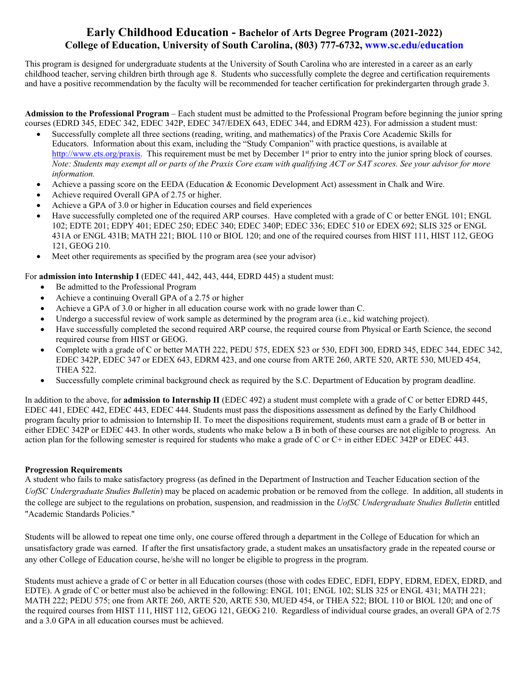# **Early Childhood Education - Bachelor of Arts Degree Program (2021-2022) College of Education, University of South Carolina, (803) 777-6732, <www.sc.edu/education>**

This program is designed for undergraduate students at the University of South Carolina who are interested in a career as an early childhood teacher, serving children birth through age 8. Students who successfully complete the degree and certification requirements and have a positive recommendation by the faculty will be recommended for teacher certification for prekindergarten through grade 3.

 **Admission to the Professional Program** – Each student must be admitted to the Professional Program before beginning the junior spring courses (EDRD 345, EDEC 342, EDEC 342P, EDEC 347/EDEX 643, EDEC 344, and EDRM 423). For admission a student must:

- Successfully complete all three sections (reading, writing, and mathematics) of the Praxis Core Academic Skills for Educators. Information about this exam, including the "Study Companion" with practice questions, is available at [http://www.ets.org/praxis.](http://www.ets.org/praxis) This requirement must be met by December 1<sup>st</sup> prior to entry into the junior spring block of courses. *Note: Students may exempt all or parts of the Praxis Core exam with qualifying ACT or SAT scores. See your advisor for more information.*
- Achieve a passing score on the EEDA (Education & Economic Development Act) assessment in Chalk and Wire.
- Achieve required Overall GPA of 2.75 or higher.
- Achieve a GPA of 3.0 or higher in Education courses and field experiences
- Have successfully completed one of the required ARP courses. Have completed with a grade of C or better ENGL 101; ENGL 102; EDTE 201; EDPY 401; EDEC 250; EDEC 340; EDEC 340P; EDEC 336; EDEC 510 or EDEX 692; SLIS 325 or ENGL 431A or ENGL 431B; MATH 221; BIOL 110 or BIOL 120; and one of the required courses from HIST 111, HIST 112, GEOG 121, GEOG 210.
- Meet other requirements as specified by the program area (see your advisor)

For **admission into Internship I** (EDEC 441, 442, 443, 444, EDRD 445) a student must:

- Be admitted to the Professional Program
- Achieve a continuing Overall GPA of a 2.75 or higher
- Achieve a GPA of 3.0 or higher in all education course work with no grade lower than C.
- Undergo a successful review of work sample as determined by the program area (i.e., kid watching project).
- Have successfully completed the second required ARP course, the required course from Physical or Earth Science, the second required course from HIST or GEOG.
- Complete with a grade of C or better MATH 222, PEDU 575, EDEX 523 or 530, EDFI 300, EDRD 345, EDEC 344, EDEC 342, EDEC 342P, EDEC 347 or EDEX 643, EDRM 423, and one course from ARTE 260, ARTE 520, ARTE 530, MUED 454, THEA 522.
- Successfully complete criminal background check as required by the S.C. Department of Education by program deadline.

 program faculty prior to admission to Internship II. To meet the dispositions requirement, students must earn a grade of B or better in either EDEC 342P or EDEC 443. In other words, students who make below a B in both of these courses are not eligible to progress. An action plan for the following semester is required for students who make a grade of C or C+ in either EDEC 342P or EDEC 443. In addition to the above, for **admission to Internship II** (EDEC 492) a student must complete with a grade of C or better EDRD 445, EDEC 441, EDEC 442, EDEC 443, EDEC 444. Students must pass the dispositions assessment as defined by the Early Childhood

### **Progression Requirements**

A student who fails to make satisfactory progress (as defined in the Department of Instruction and Teacher Education section of the *UofSC Undergraduate Studies Bulletin*) may be placed on academic probation or be removed from the college. In addition, all students in the college are subject to the regulations on probation, suspension, and readmission in the *UofSC Undergraduate Studies Bulletin* entitled "Academic Standards Policies."

 unsatisfactory grade was earned. If after the first unsatisfactory grade, a student makes an unsatisfactory grade in the repeated course or Students will be allowed to repeat one time only, one course offered through a department in the College of Education for which an any other College of Education course, he/she will no longer be eligible to progress in the program.

 EDTE). A grade of C or better must also be achieved in the following: ENGL 101; ENGL 102; SLIS 325 or ENGL 431; MATH 221; MATH 222; PEDU 575; one from ARTE 260, ARTE 520, ARTE 530, MUED 454, or THEA 522; BIOL 110 or BIOL 120; and one of the required courses from HIST 111, HIST 112, GEOG 121, GEOG 210. Regardless of individual course grades, an overall GPA of 2.75 Students must achieve a grade of C or better in all Education courses (those with codes EDEC, EDFI, EDPY, EDRM, EDEX, EDRD, and and a 3.0 GPA in all education courses must be achieved.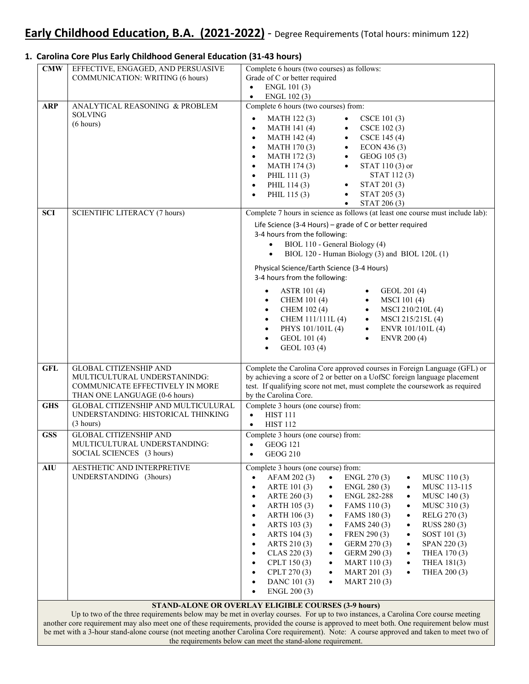#### $\bullet$  ENGL 101(3) Life Science (3‐4 Hours) – grade of C or better required 3‐4 hours from the following: Physical Science/Earth Science (3‐4 Hours) 3‐4 hours from the following: by the Carolina Core. **CMW** EFFECTIVE, ENGAGED, AND PERSUASIVE COMMUNICATION: WRITING (6 hours) Complete 6 hours (two courses) as follows: Grade of C or better required  $\bullet$  ENGL 102(3) **ARP** ANALYTICAL REASONING & PROBLEM Complete 6 hours (two courses) from: SOLVING  $\begin{array}{cccc}\n\text{SOLUTION} \\
\text{SOLUTION} \\
\text{SOLUTION} \\
\text{SOLUTION} \\
\text{Solution} \\
\text{Solution} \\
\text{Solution} \\
\text{Solution} \\
\text{Solution} \\
\text{Solution} \\
\text{Solution} \\
\text{Solution} \\
\text{Solution} \\
\text{Solution} \\
\text{Solution} \\
\text{Solution} \\
\text{Solution} \\
\text{Solution} \\
\text{Solution} \\
\text{Solution} \\
\text{Solution} \\
\text{Solution} \\
\text{Solution} \\
\text{Solution} \\
\text{Solution} \\
\text{Solution} \\
\text{Solution} \\
\text{Solution} \\
\text{Solution} \\
\text{Solution} \\
\text$ MATH 141 (4) • CSCE 102 (3) • MATH 142 (4) • CSCE 145 (4) • MATH 170 (3) • ECON 436 (3) MATH 172 (3) • GEOG 105 (3) • MATH 174 (3) • STAT 110 (3) or PHIL 111 (3) STAT 112 (3) PHIL 114 (3) • STAT 201 (3)<br>PHIL 115 (3) • STAT 205 (3) PHIL 115 $(3)$  $\bullet$  STAT 206 (3) **SCI** SCIENTIFIC LITERACY (7 hours) Complete 7 hours in science as follows (at least one course must include lab):  $\bullet$  BIOL 110 - General Biology (4) BIOL 120 - Human Biology (3) and BIOL 120L (1) ASTR 101 (4) • GEOL 201 (4) • CHEM 101 (4) • MSCI 101 (4) • CHEM  $102 (4)$  • MSCI 210/210L (4) CHEM 111/111L (4) • MSCI 215/215L (4) PHYS 101/101L (4) • ENVR 101/101L (4) GEOL 101 (4) • ENVR 200 (4)  $\bullet$  GEOL 103 (4) **GFL** GLOBAL CITIZENSHIP AND MULTICULTURAL UNDERSTANINDG: COMMUNICATE EFFECTIVELY IN MORE THAN ONE LANGUAGE (0-6 hours) Complete the Carolina Core approved courses in Foreign Language (GFL) or by achieving a score of 2 or better on a UofSC foreign language placement test. If qualifying score not met, must complete the coursework as required GHS GLOBAL CITIZENSHIP AND MULTICULURAL UNDERSTANDING: HISTORICAL THINKING (3 hours) Complete 3 hours (one course) from: • **HIST 111**  $\bullet$  HIST 112 **GSS** GLOBAL CITIZENSHIP AND MULTICULTURAL UNDERSTANDING: SOCIAL SCIENCES (3 hours) Complete 3 hours (one course) from:  $\bullet$  GEOG 121  $\bullet$  GEOG 210 **AIU** AESTHETIC AND INTERPRETIVE UNDERSTANDING (3hours) Complete 3 hours (one course) from: • AFAM 202 (3) • ENGL 270 (3) • MUSC 110 (3) • ARTE 101 (3) • ENGL 280 (3) • MUSC 113-115 • ARTE 260 (3) • ENGL 282-288 • MUSC 140 (3) • ARTH 105 (3) • FAMS 110 (3) • MUSC 310 (3) • ARTH 106 (3) • FAMS 180 (3) • RELG 270 (3) ARTS 103 (3) FAMS 240 (3) RUSS 280 (3) ARTS 104 (3) • FREN 290 (3) • SOST 101 (3) ARTS 210 (3) • GERM 270 (3) • SPAN 220 (3) • CLAS 220 (3) • GERM 290 (3) • THEA 170 (3) CPLT 150 (3)  $\bullet$  MART 110 (3)  $\bullet$  THEA 181(3) CPLT 270 (3)  $\bullet$  MART 201 (3)  $\bullet$  THEA 200 (3) DANC 101 (3)  $\bullet$  MART 210 (3) ENGL 200 (3) **STAND-ALONE OR OVERLAY ELIGIBLE COURSES (3-9 hours)**

## **1. Carolina Core Plus Early Childhood General Education (31‐43 hours)**

 Up to two of the three requirements below may be met in overlay courses. For up to two instances, a Carolina Core course meeting another core requirement may also meet one of these requirements, provided the course is approved to meet both. One requirement below must be met with a 3-hour stand-alone course (not meeting another Carolina Core requirement). Note: A course approved and taken to meet two of the requirements below can meet the stand-alone requirement.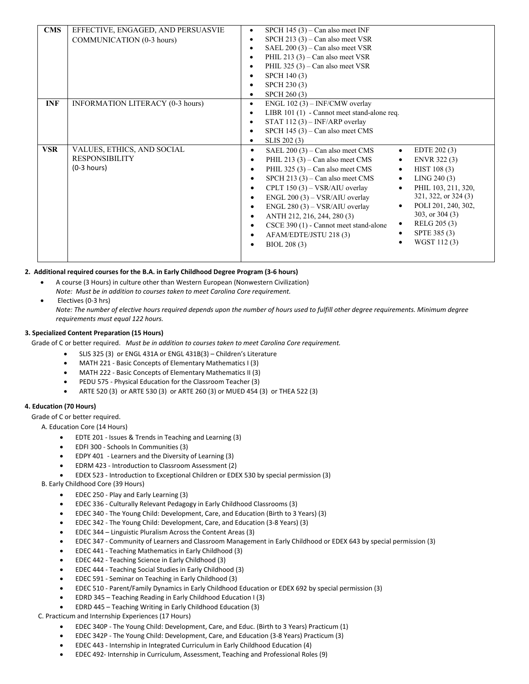| <b>CMS</b> | EFFECTIVE, ENGAGED, AND PERSUASVIE<br>COMMUNICATION (0-3 hours)      | SPCH $145(3)$ – Can also meet INF<br>٠<br>SPCH 213 $(3)$ – Can also meet VSR<br>$\bullet$<br>SAEL $200(3)$ – Can also meet VSR<br>$\bullet$<br>PHIL 213 $(3)$ – Can also meet VSR<br>$\bullet$<br>PHIL $325(3)$ – Can also meet VSR<br>$\bullet$<br>SPCH 140 (3)<br>$\bullet$<br>SPCH 230 (3)<br>$\bullet$<br>SPCH 260 (3)<br>$\bullet$                                                                                                                                                                                                                                                                                                                                                                                                                                                                                  |
|------------|----------------------------------------------------------------------|--------------------------------------------------------------------------------------------------------------------------------------------------------------------------------------------------------------------------------------------------------------------------------------------------------------------------------------------------------------------------------------------------------------------------------------------------------------------------------------------------------------------------------------------------------------------------------------------------------------------------------------------------------------------------------------------------------------------------------------------------------------------------------------------------------------------------|
| <b>INF</b> | <b>INFORMATION LITERACY (0-3 hours)</b>                              | ENGL $102(3)$ – INF/CMW overlay<br>$\bullet$<br>LIBR $101(1)$ - Cannot meet stand-alone req.<br>$\bullet$<br>STAT 112 $(3)$ – INF/ARP overlay<br>٠<br>SPCH $145(3)$ – Can also meet CMS<br>٠<br>SLIS 202 (3)<br>٠                                                                                                                                                                                                                                                                                                                                                                                                                                                                                                                                                                                                        |
| <b>VSR</b> | VALUES, ETHICS, AND SOCIAL<br><b>RESPONSIBILITY</b><br>$(0-3 hours)$ | SAEL $200(3)$ – Can also meet CMS<br>EDTE 202 (3)<br>$\bullet$<br>$\bullet$<br>PHIL 213 $(3)$ – Can also meet CMS<br>ENVR 322 (3)<br>$\bullet$<br>$\bullet$<br>PHIL 325 $(3)$ – Can also meet CMS<br>HIST 108 (3)<br>$\bullet$<br>$\bullet$<br>SPCH 213 $(3)$ – Can also meet CMS<br>LING 240(3)<br>$\bullet$<br>$\bullet$<br>PHIL 103, 211, 320,<br>CPLT $150(3) - VSR/AIU$ overlay<br>$\bullet$<br>$\bullet$<br>321, 322, or 324 (3)<br>ENGL 200 (3) - VSR/AIU overlay<br>$\bullet$<br>POLI 201, 240, 302,<br>$\bullet$<br>$ENGL 280 (3) - VSR/AIU$ overlay<br>$\bullet$<br>303, or $304(3)$<br>ANTH 212, 216, 244, 280 (3)<br>$\bullet$<br>RELG 205 (3)<br>$\bullet$<br>CSCE 390 (1) - Cannot meet stand-alone<br>$\bullet$<br>SPTE 385 (3)<br>AFAM/EDTE/JSTU 218(3)<br>$\bullet$<br>WGST 112(3)<br>BIOL 208 (3)<br>٠ |

### 2. Additional required courses for the B.A. in Early Childhood Degree Program (3-6 hours)

- A course (3 Hours) in culture other than Western European (Nonwestern Civilization)  *Note: Must be in addition to courses taken to meet Carolina Core requirement.*
- Electives (0-3 hrs)

Note: The number of elective hours required depends upon the number of hours used to fulfill other degree requirements. Minimum degree  *requirements must equal 122 hours.*

#### **3. Specialized Content Preparation (15 Hours)**

Grade of C or better required. Must be in addition to courses taken to meet Carolina Core requirement.

- SLIS 325 (3) or ENGL 431A or ENGL 431B(3) Children's Literature
- MATH 221 ‐ Basic Concepts of Elementary Mathematics I (3)
- MATH 222 ‐ Basic Concepts of Elementary Mathematics II (3)
- PEDU 575 ‐ Physical Education for the Classroom Teacher (3)
- ARTE 520 (3) or ARTE 530 (3) or ARTE 260 (3) or MUED 454 (3) or THEA 522 (3)

### **4. Education (70 Hours)**

Grade of C or better required.

A. Education Core (14 Hours)

- EDTE 201 Issues & Trends in Teaching and Learning (3)
- EDFI 300 ‐ Schools In Communities (3)
- EDPY 401 ‐ Learners and the Diversity of Learning (3)
- EDRM 423 ‐ Introduction to Classroom Assessment (2)
- EDEX 523 ‐ Introduction to Exceptional Children or EDEX 530 by special permission (3)

B. Early Childhood Core (39 Hours)

- EDEC 250 Play and Early Learning (3)
- EDEC 336 ‐ Culturally Relevant Pedagogy in Early Childhood Classrooms (3)
- EDEC 340 ‐ The Young Child: Development, Care, and Education (Birth to 3 Years) (3)
- EDEC 342 ‐ The Young Child: Development, Care, and Education (3‐8 Years) (3)
- EDEC 344 Linguistic Pluralism Across the Content Areas (3)
- EDEC 347 ‐ Community of Learners and Classroom Management in Early Childhood or EDEX 643 by special permission (3)
- EDEC 441 Teaching Mathematics in Early Childhood (3)
- EDEC 442 ‐ Teaching Science in Early Childhood (3)
- EDEC 444 ‐ Teaching Social Studies in Early Childhood (3)
- EDEC 591 ‐ Seminar on Teaching in Early Childhood (3)
- EDEC 510 ‐ Parent/Family Dynamics in Early Childhood Education or EDEX 692 by special permission (3)
- EDRD 345 Teaching Reading in Early Childhood Education I (3)
- EDRD 445 Teaching Writing in Early Childhood Education (3)

C. Practicum and Internship Experiences (17 Hours)

- EDEC 340P ‐ The Young Child: Development, Care, and Educ. (Birth to 3 Years) Practicum (1)
- EDEC 342P The Young Child: Development, Care, and Education (3-8 Years) Practicum (3)
- EDEC 443 ‐ Internship in Integrated Curriculum in Early Childhood Education (4)
- EDEC 492‐ Internship in Curriculum, Assessment, Teaching and Professional Roles (9)